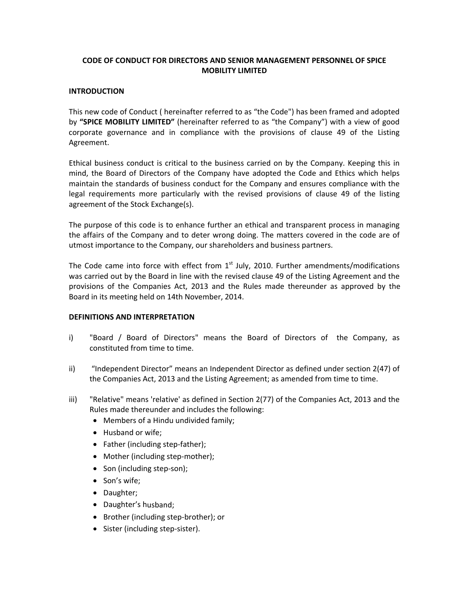# **CODE OF CONDUCT FOR DIRECTORS AND SENIOR MANAGEMENT PERSONNEL OF SPICE MOBILITY LIMITED**

## **INTRODUCTION**

This new code of Conduct ( hereinafter referred to as "the Code") has been framed and adopted by **"SPICE MOBILITY LIMITED"** (hereinafter referred to as "the Company") with a view of good corporate governance and in compliance with the provisions of clause 49 of the Listing Agreement.

Ethical business conduct is critical to the business carried on by the Company. Keeping this in mind, the Board of Directors of the Company have adopted the Code and Ethics which helps maintain the standards of business conduct for the Company and ensures compliance with the legal requirements more particularly with the revised provisions of clause 49 of the listing agreement of the Stock Exchange(s).

The purpose of this code is to enhance further an ethical and transparent process in managing the affairs of the Company and to deter wrong doing. The matters covered in the code are of utmost importance to the Company, our shareholders and business partners.

The Code came into force with effect from  $1<sup>st</sup>$  July, 2010. Further amendments/modifications was carried out by the Board in line with the revised clause 49 of the Listing Agreement and the provisions of the Companies Act, 2013 and the Rules made thereunder as approved by the Board in its meeting held on 14th November, 2014.

# **DEFINITIONS AND INTERPRETATION**

- i) "Board / Board of Directors" means the Board of Directors of the Company, as constituted from time to time.
- ii) "Independent Director" means an Independent Director as defined under section 2(47) of the Companies Act, 2013 and the Listing Agreement; as amended from time to time.
- iii) "Relative" means 'relative' as defined in Section 2(77) of the Companies Act, 2013 and the Rules made thereunder and includes the following:
	- Members of a Hindu undivided family;
	- Husband or wife;
	- Father (including step-father);
	- Mother (including step-mother);
	- Son (including step-son);
	- Son's wife;
	- Daughter;
	- Daughter's husband;
	- Brother (including step-brother); or
	- Sister (including step-sister).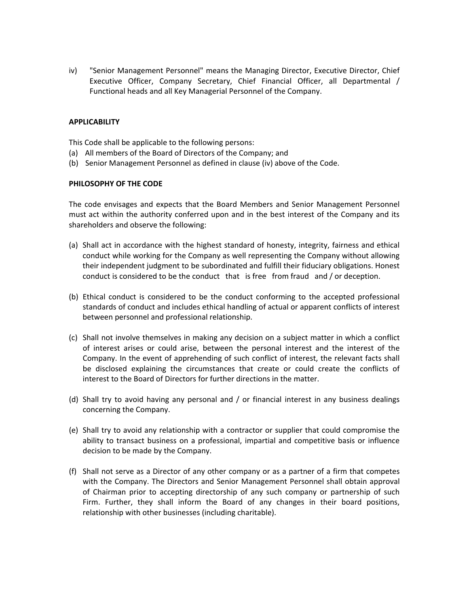iv) "Senior Management Personnel" means the Managing Director, Executive Director, Chief Executive Officer, Company Secretary, Chief Financial Officer, all Departmental / Functional heads and all Key Managerial Personnel of the Company.

# **APPLICABILITY**

This Code shall be applicable to the following persons:

- (a) All members of the Board of Directors of the Company; and
- (b) Senior Management Personnel as defined in clause (iv) above of the Code.

## **PHILOSOPHY OF THE CODE**

The code envisages and expects that the Board Members and Senior Management Personnel must act within the authority conferred upon and in the best interest of the Company and its shareholders and observe the following:

- (a) Shall act in accordance with the highest standard of honesty, integrity, fairness and ethical conduct while working for the Company as well representing the Company without allowing their independent judgment to be subordinated and fulfill their fiduciary obligations. Honest conduct is considered to be the conduct that is free from fraud and / or deception.
- (b) Ethical conduct is considered to be the conduct conforming to the accepted professional standards of conduct and includes ethical handling of actual or apparent conflicts of interest between personnel and professional relationship.
- (c) Shall not involve themselves in making any decision on a subject matter in which a conflict of interest arises or could arise, between the personal interest and the interest of the Company. In the event of apprehending of such conflict of interest, the relevant facts shall be disclosed explaining the circumstances that create or could create the conflicts of interest to the Board of Directors for further directions in the matter.
- (d) Shall try to avoid having any personal and / or financial interest in any business dealings concerning the Company.
- (e) Shall try to avoid any relationship with a contractor or supplier that could compromise the ability to transact business on a professional, impartial and competitive basis or influence decision to be made by the Company.
- (f) Shall not serve as a Director of any other company or as a partner of a firm that competes with the Company. The Directors and Senior Management Personnel shall obtain approval of Chairman prior to accepting directorship of any such company or partnership of such Firm. Further, they shall inform the Board of any changes in their board positions, relationship with other businesses (including charitable).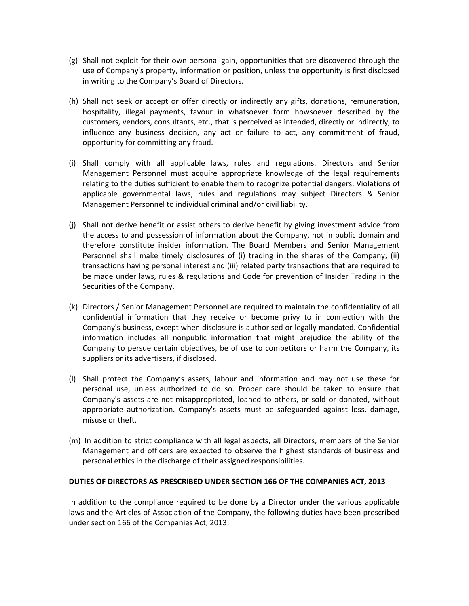- (g) Shall not exploit for their own personal gain, opportunities that are discovered through the use of Company's property, information or position, unless the opportunity is first disclosed in writing to the Company's Board of Directors.
- (h) Shall not seek or accept or offer directly or indirectly any gifts, donations, remuneration, hospitality, illegal payments, favour in whatsoever form howsoever described by the customers, vendors, consultants, etc., that is perceived as intended, directly or indirectly, to influence any business decision, any act or failure to act, any commitment of fraud, opportunity for committing any fraud.
- (i) Shall comply with all applicable laws, rules and regulations. Directors and Senior Management Personnel must acquire appropriate knowledge of the legal requirements relating to the duties sufficient to enable them to recognize potential dangers. Violations of applicable governmental laws, rules and regulations may subject Directors & Senior Management Personnel to individual criminal and/or civil liability.
- (j) Shall not derive benefit or assist others to derive benefit by giving investment advice from the access to and possession of information about the Company, not in public domain and therefore constitute insider information. The Board Members and Senior Management Personnel shall make timely disclosures of (i) trading in the shares of the Company, (ii) transactions having personal interest and (iii) related party transactions that are required to be made under laws, rules & regulations and Code for prevention of Insider Trading in the Securities of the Company.
- (k) Directors / Senior Management Personnel are required to maintain the confidentiality of all confidential information that they receive or become privy to in connection with the Company's business, except when disclosure is authorised or legally mandated. Confidential information includes all nonpublic information that might prejudice the ability of the Company to persue certain objectives, be of use to competitors or harm the Company, its suppliers or its advertisers, if disclosed.
- (l) Shall protect the Company's assets, labour and information and may not use these for personal use, unless authorized to do so. Proper care should be taken to ensure that Company's assets are not misappropriated, loaned to others, or sold or donated, without appropriate authorization. Company's assets must be safeguarded against loss, damage, misuse or theft.
- (m) In addition to strict compliance with all legal aspects, all Directors, members of the Senior Management and officers are expected to observe the highest standards of business and personal ethics in the discharge of their assigned responsibilities.

# **DUTIES OF DIRECTORS AS PRESCRIBED UNDER SECTION 166 OF THE COMPANIES ACT, 2013**

In addition to the compliance required to be done by a Director under the various applicable laws and the Articles of Association of the Company, the following duties have been prescribed under section 166 of the Companies Act, 2013: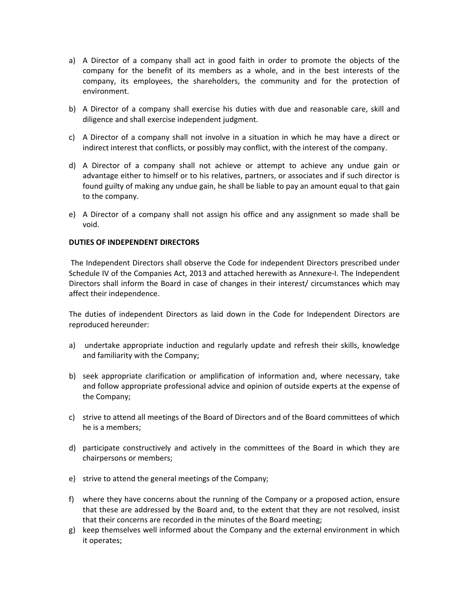- a) A Director of a company shall act in good faith in order to promote the objects of the company for the benefit of its members as a whole, and in the best interests of the company, its employees, the shareholders, the community and for the protection of environment.
- b) A Director of a company shall exercise his duties with due and reasonable care, skill and diligence and shall exercise independent judgment.
- c) A Director of a company shall not involve in a situation in which he may have a direct or indirect interest that conflicts, or possibly may conflict, with the interest of the company.
- d) A Director of a company shall not achieve or attempt to achieve any undue gain or advantage either to himself or to his relatives, partners, or associates and if such director is found guilty of making any undue gain, he shall be liable to pay an amount equal to that gain to the company.
- e) A Director of a company shall not assign his office and any assignment so made shall be void.

## **DUTIES OF INDEPENDENT DIRECTORS**

The Independent Directors shall observe the Code for independent Directors prescribed under Schedule IV of the Companies Act, 2013 and attached herewith as Annexure‐I. The Independent Directors shall inform the Board in case of changes in their interest/ circumstances which may affect their independence.

The duties of independent Directors as laid down in the Code for Independent Directors are reproduced hereunder:

- a) undertake appropriate induction and regularly update and refresh their skills, knowledge and familiarity with the Company;
- b) seek appropriate clarification or amplification of information and, where necessary, take and follow appropriate professional advice and opinion of outside experts at the expense of the Company;
- c) strive to attend all meetings of the Board of Directors and of the Board committees of which he is a members;
- d) participate constructively and actively in the committees of the Board in which they are chairpersons or members;
- e) strive to attend the general meetings of the Company;
- f) where they have concerns about the running of the Company or a proposed action, ensure that these are addressed by the Board and, to the extent that they are not resolved, insist that their concerns are recorded in the minutes of the Board meeting;
- g) keep themselves well informed about the Company and the external environment in which it operates;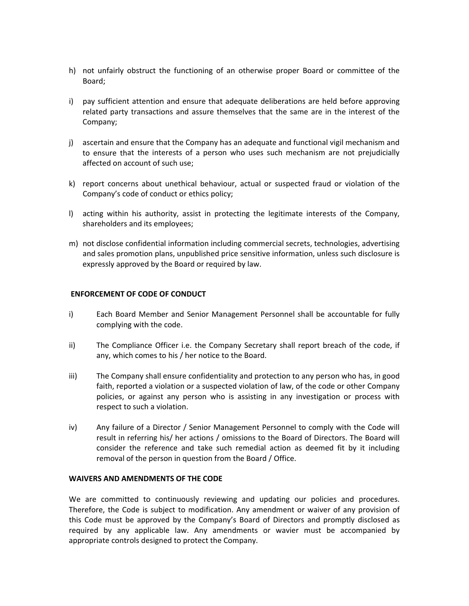- h) not unfairly obstruct the functioning of an otherwise proper Board or committee of the Board;
- i) pay sufficient attention and ensure that adequate deliberations are held before approving related party transactions and assure themselves that the same are in the interest of the Company;
- j) ascertain and ensure that the Company has an adequate and functional vigil mechanism and to ensure that the interests of a person who uses such mechanism are not prejudicially affected on account of such use;
- k) report concerns about unethical behaviour, actual or suspected fraud or violation of the Company's code of conduct or ethics policy;
- l) acting within his authority, assist in protecting the legitimate interests of the Company, shareholders and its employees;
- m) not disclose confidential information including commercial secrets, technologies, advertising and sales promotion plans, unpublished price sensitive information, unless such disclosure is expressly approved by the Board or required by law.

# **ENFORCEMENT OF CODE OF CONDUCT**

- i) Each Board Member and Senior Management Personnel shall be accountable for fully complying with the code.
- ii) The Compliance Officer i.e. the Company Secretary shall report breach of the code, if any, which comes to his / her notice to the Board.
- iii) The Company shall ensure confidentiality and protection to any person who has, in good faith, reported a violation or a suspected violation of law, of the code or other Company policies, or against any person who is assisting in any investigation or process with respect to such a violation.
- iv) Any failure of a Director / Senior Management Personnel to comply with the Code will result in referring his/ her actions / omissions to the Board of Directors. The Board will consider the reference and take such remedial action as deemed fit by it including removal of the person in question from the Board / Office.

## **WAIVERS AND AMENDMENTS OF THE CODE**

We are committed to continuously reviewing and updating our policies and procedures. Therefore, the Code is subject to modification. Any amendment or waiver of any provision of this Code must be approved by the Company's Board of Directors and promptly disclosed as required by any applicable law. Any amendments or wavier must be accompanied by appropriate controls designed to protect the Company.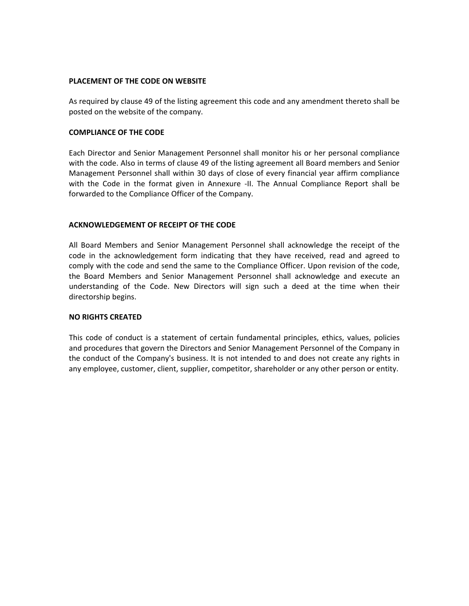## **PLACEMENT OF THE CODE ON WEBSITE**

As required by clause 49 of the listing agreement this code and any amendment thereto shall be posted on the website of the company.

## **COMPLIANCE OF THE CODE**

Each Director and Senior Management Personnel shall monitor his or her personal compliance with the code. Also in terms of clause 49 of the listing agreement all Board members and Senior Management Personnel shall within 30 days of close of every financial year affirm compliance with the Code in the format given in Annexure -II. The Annual Compliance Report shall be forwarded to the Compliance Officer of the Company.

## **ACKNOWLEDGEMENT OF RECEIPT OF THE CODE**

All Board Members and Senior Management Personnel shall acknowledge the receipt of the code in the acknowledgement form indicating that they have received, read and agreed to comply with the code and send the same to the Compliance Officer. Upon revision of the code, the Board Members and Senior Management Personnel shall acknowledge and execute an understanding of the Code. New Directors will sign such a deed at the time when their directorship begins.

## **NO RIGHTS CREATED**

This code of conduct is a statement of certain fundamental principles, ethics, values, policies and procedures that govern the Directors and Senior Management Personnel of the Company in the conduct of the Company's business. It is not intended to and does not create any rights in any employee, customer, client, supplier, competitor, shareholder or any other person or entity.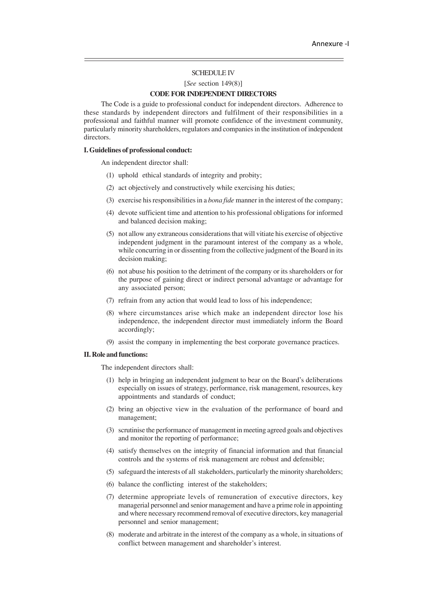### SCHEDULE IV

[*See* section 149(8)]

### **CODE FOR INDEPENDENT DIRECTORS**

The Code is a guide to professional conduct for independent directors. Adherence to these standards by independent directors and fulfilment of their responsibilities in a professional and faithful manner will promote confidence of the investment community, particularly minority shareholders, regulators and companies in the institution of independent directors.

#### **I. Guidelines of professional conduct:**

An independent director shall:

- (1) uphold ethical standards of integrity and probity;
- (2) act objectively and constructively while exercising his duties;
- (3) exercise his responsibilities in a *bona fide* manner in the interest of the company;
- (4) devote sufficient time and attention to his professional obligations for informed and balanced decision making;
- (5) not allow any extraneous considerations that will vitiate his exercise of objective independent judgment in the paramount interest of the company as a whole, while concurring in or dissenting from the collective judgment of the Board in its decision making;
- (6) not abuse his position to the detriment of the company or its shareholders or for the purpose of gaining direct or indirect personal advantage or advantage for any associated person;
- (7) refrain from any action that would lead to loss of his independence;
- (8) where circumstances arise which make an independent director lose his independence, the independent director must immediately inform the Board accordingly;
- (9) assist the company in implementing the best corporate governance practices.

### **II. Role and functions:**

The independent directors shall:

- (1) help in bringing an independent judgment to bear on the Board's deliberations especially on issues of strategy, performance, risk management, resources, key appointments and standards of conduct;
- (2) bring an objective view in the evaluation of the performance of board and management;
- (3) scrutinise the performance of management in meeting agreed goals and objectives and monitor the reporting of performance;
- (4) satisfy themselves on the integrity of financial information and that financial controls and the systems of risk management are robust and defensible;
- (5) safeguard the interests of all stakeholders, particularly the minority shareholders;
- (6) balance the conflicting interest of the stakeholders;
- (7) determine appropriate levels of remuneration of executive directors, key managerial personnel and senior management and have a prime role in appointing and where necessary recommend removal of executive directors, key managerial personnel and senior management;
- (8) moderate and arbitrate in the interest of the company as a whole, in situations of conflict between management and shareholder's interest.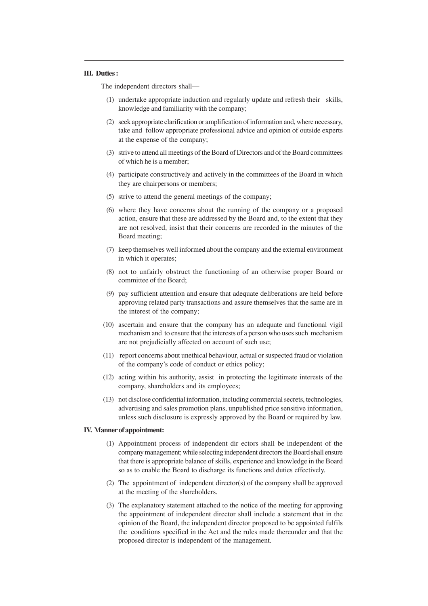#### **III. Duties :**

The independent directors shall—

- (1) undertake appropriate induction and regularly update and refresh their skills, knowledge and familiarity with the company;
- (2) seek appropriate clarification or amplification of information and, where necessary, take and follow appropriate professional advice and opinion of outside experts at the expense of the company;
- (3) strive to attend all meetings of the Board of Directors and of the Board committees of which he is a member;
- (4) participate constructively and actively in the committees of the Board in which they are chairpersons or members;
- (5) strive to attend the general meetings of the company;
- (6) where they have concerns about the running of the company or a proposed action, ensure that these are addressed by the Board and, to the extent that they are not resolved, insist that their concerns are recorded in the minutes of the Board meeting;
- (7) keep themselves well informed about the company and the external environment in which it operates;
- (8) not to unfairly obstruct the functioning of an otherwise proper Board or committee of the Board;
- (9) pay sufficient attention and ensure that adequate deliberations are held before approving related party transactions and assure themselves that the same are in the interest of the company;
- (10) ascertain and ensure that the company has an adequate and functional vigil mechanism and to ensure that the interests of a person who uses such mechanism are not prejudicially affected on account of such use;
- (11) report concerns about unethical behaviour, actual or suspected fraud or violation of the company's code of conduct or ethics policy;
- (12) acting within his authority, assist in protecting the legitimate interests of the company, shareholders and its employees;
- (13) not disclose confidential information, including commercial secrets, technologies, advertising and sales promotion plans, unpublished price sensitive information, unless such disclosure is expressly approved by the Board or required by law.

#### **IV. Manner of appointment:**

- (1) Appointment process of independent dir ectors shall be independent of the company management; while selecting independent directors the Board shall ensure that there is appropriate balance of skills, experience and knowledge in the Board so as to enable the Board to discharge its functions and duties effectively.
- (2) The appointment of independent director(s) of the company shall be approved at the meeting of the shareholders.
- (3) The explanatory statement attached to the notice of the meeting for approving the appointment of independent director shall include a statement that in the opinion of the Board, the independent director proposed to be appointed fulfils the conditions specified in the Act and the rules made thereunder and that the proposed director is independent of the management.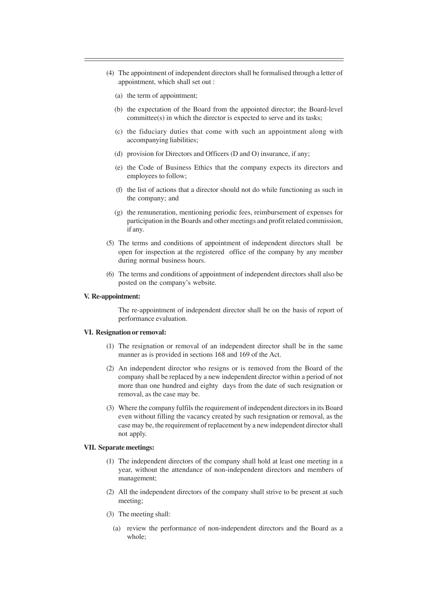- (4) The appointment of independent directors shall be formalised through a letter of appointment, which shall set out :
	- (a) the term of appointment;
	- (b) the expectation of the Board from the appointed director; the Board-level committee(s) in which the director is expected to serve and its tasks;
	- (c) the fiduciary duties that come with such an appointment along with accompanying liabilities;
	- (d) provision for Directors and Officers (D and O) insurance, if any;
	- (e) the Code of Business Ethics that the company expects its directors and employees to follow;
	- (f) the list of actions that a director should not do while functioning as such in the company; and
	- (g) the remuneration, mentioning periodic fees, reimbursement of expenses for participation in the Boards and other meetings and profit related commission, if any.
- (5) The terms and conditions of appointment of independent directors shall be open for inspection at the registered office of the company by any member during normal business hours.
- (6) The terms and conditions of appointment of independent directors shall also be posted on the company's website.

### **V. Re-appointment:**

The re-appointment of independent director shall be on the basis of report of performance evaluation.

#### **VI. Resignation or removal:**

- (1) The resignation or removal of an independent director shall be in the same manner as is provided in sections 168 and 169 of the Act.
- (2) An independent director who resigns or is removed from the Board of the company shall be replaced by a new independent director within a period of not more than one hundred and eighty days from the date of such resignation or removal, as the case may be.
- (3) Where the company fulfils the requirement of independent directors in its Board even without filling the vacancy created by such resignation or removal, as the case may be, the requirement of replacement by a new independent director shall not apply.

#### **VII. Separate meetings:**

- (1) The independent directors of the company shall hold at least one meeting in a year, without the attendance of non-independent directors and members of management;
- (2) All the independent directors of the company shall strive to be present at such meeting;
- (3) The meeting shall:
	- (a) review the performance of non-independent directors and the Board as a whole;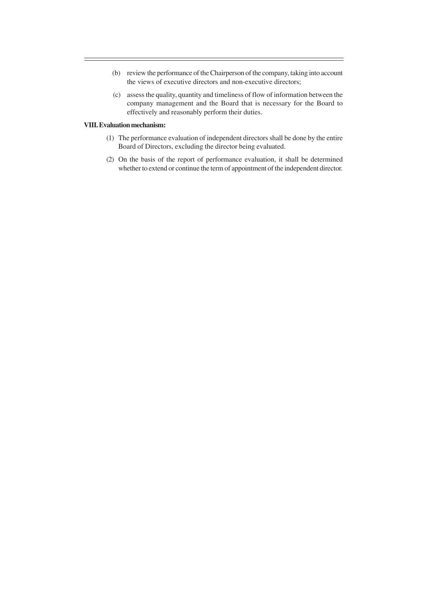- (b) review the performance of the Chairperson of the company, taking into account the views of executive directors and non-executive directors;
- (c) assess the quality, quantity and timeliness of flow of information between the company management and the Board that is necessary for the Board to effectively and reasonably perform their duties.

### **VIII. Evaluation mechanism:**

- (1) The performance evaluation of independent directors shall be done by the entire Board of Directors, excluding the director being evaluated.
- (2) On the basis of the report of performance evaluation, it shall be determined whether to extend or continue the term of appointment of the independent director.